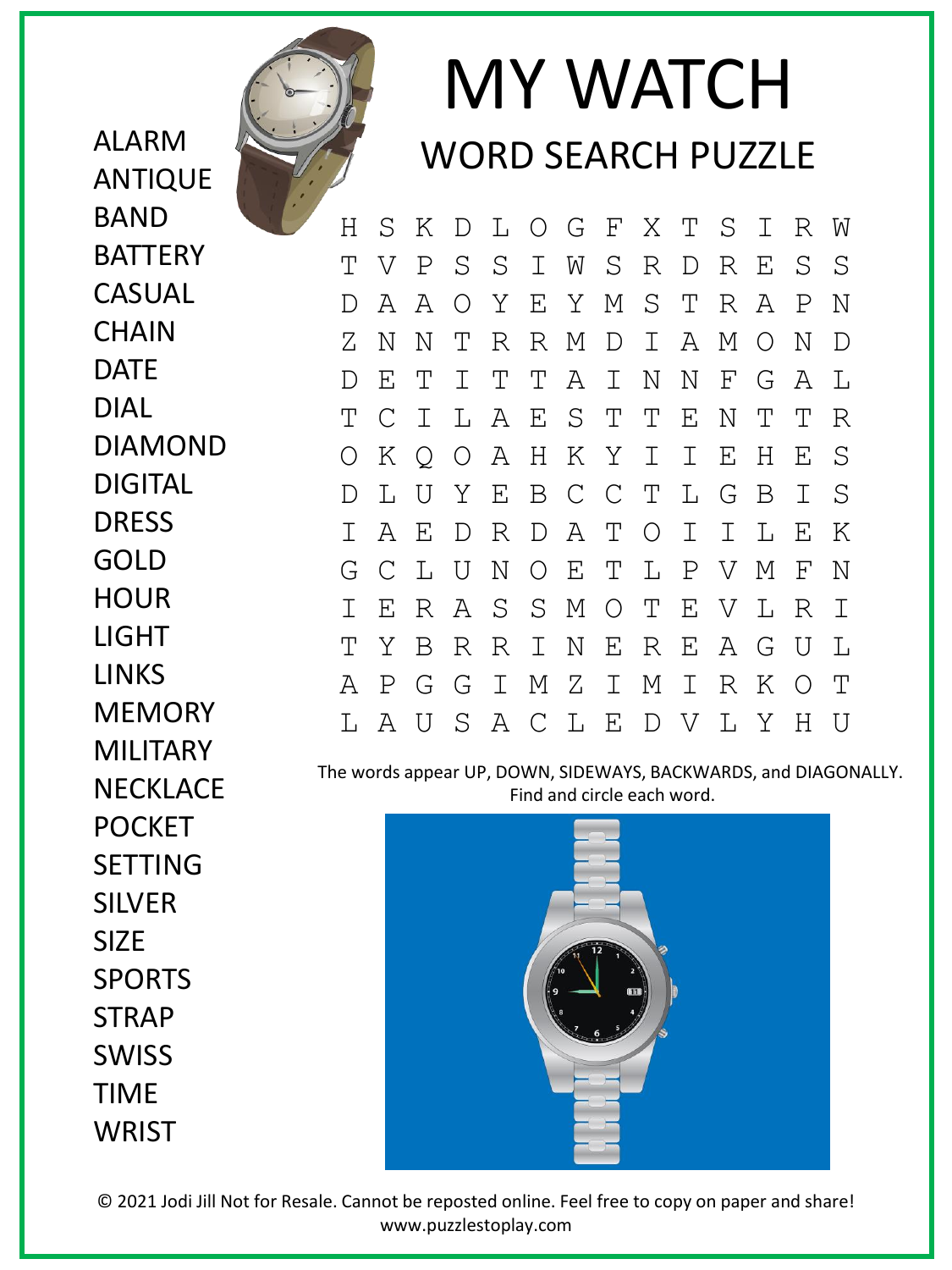ALARM ANTIQUE BAND **BATTERY** CASUAL **CHAIN** DATE DIAL DIAMOND DIGITAL DRESS GOLD **HOUR** LIGHT LINKS MEMORY MILITARY **NECKLACE** POCKET SETTING SILVER SIZE SPORTS **STRAP** SWISS TIME **WRIST** 



## MY WATCH WORD SEARCH PUZZLE

H S K D L O G F X T S I R W T V P S S I W S R D R E S S D A A O Y E Y M S T R A P N Z N N T R R M D I A M O N D D E T I T T A I N N F G A L T C I L A E S T T E N T T R O K Q O A H K Y I I E H E S D L U Y E B C C T L G B I S I A E D R D A T O I I L E K G C L U N O E T L P V M F N I E R A S S M O T E V L R I T Y B R R I N E R E A G U L A P G G I M Z I M I R K O T L A U S A C L E D V L Y H U

The words appear UP, DOWN, SIDEWAYS, BACKWARDS, and DIAGONALLY. Find and circle each word.



© 2021 Jodi Jill Not for Resale. Cannot be reposted online. Feel free to copy on paper and share! www.puzzlestoplay.com